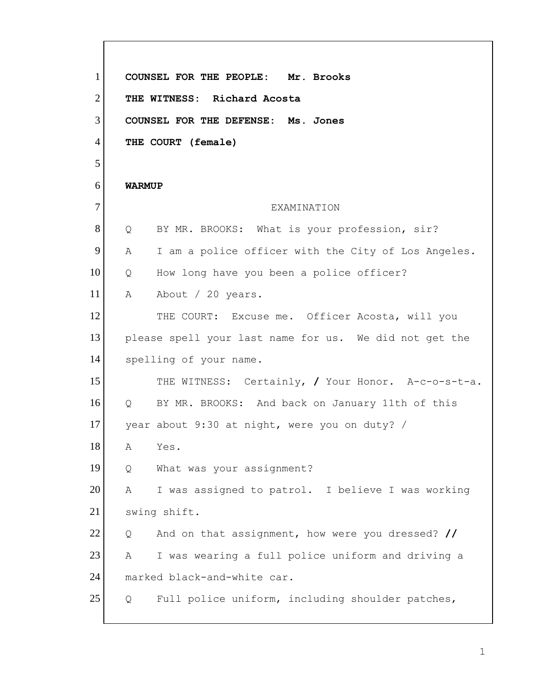| $\mathbf{1}$   |                   | COUNSEL FOR THE PEOPLE: Mr. Brooks                     |
|----------------|-------------------|--------------------------------------------------------|
| $\overline{2}$ |                   | THE WITNESS: Richard Acosta                            |
| 3              |                   | COUNSEL FOR THE DEFENSE: Ms. Jones                     |
| $\overline{4}$ |                   | THE COURT (female)                                     |
| 5              |                   |                                                        |
| 6              | <b>WARMUP</b>     |                                                        |
| $\tau$         |                   | EXAMINATION                                            |
| 8              | Q                 | BY MR. BROOKS: What is your profession, sir?           |
| 9              | A                 | I am a police officer with the City of Los Angeles.    |
| 10             | Q                 | How long have you been a police officer?               |
| 11             | A                 | About / 20 years.                                      |
| 12             |                   | THE COURT: Excuse me. Officer Acosta, will you         |
| 13             |                   | please spell your last name for us. We did not get the |
| 14             |                   | spelling of your name.                                 |
| 15             |                   | THE WITNESS: Certainly, / Your Honor. A-c-o-s-t-a.     |
| 16             | $Q \qquad \qquad$ | BY MR. BROOKS: And back on January 11th of this        |
| 17             |                   | year about 9:30 at night, were you on duty? /          |
| 18             | A                 | Yes.                                                   |
| 19             | Q                 | What was your assignment?                              |
| 20             | Α                 | I was assigned to patrol. I believe I was working      |
| 21             |                   | swing shift.                                           |
| 22             | Q                 | And on that assignment, how were you dressed? //       |
| 23             | Α                 | I was wearing a full police uniform and driving a      |
| 24             |                   | marked black-and-white car.                            |
| 25             | Q                 | Full police uniform, including shoulder patches,       |
|                |                   |                                                        |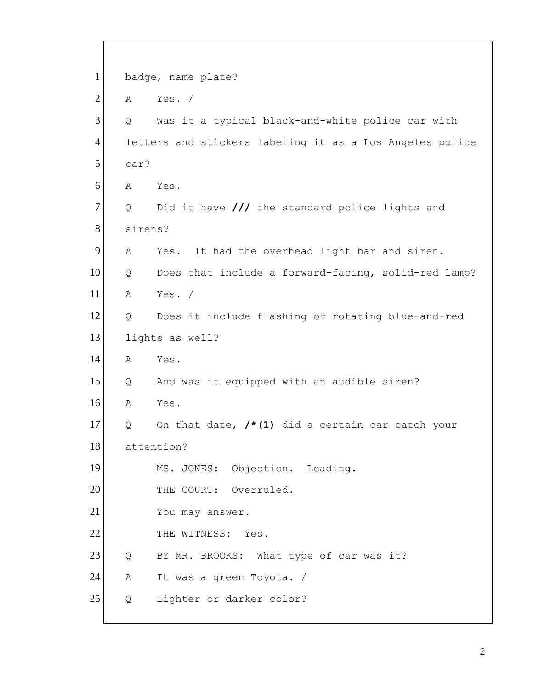| $\mathbf{1}$   |         | badge, name plate?                                       |
|----------------|---------|----------------------------------------------------------|
| $\overline{2}$ | A       | Yes. $/$                                                 |
| 3              | Q       | Was it a typical black-and-white police car with         |
| $\overline{4}$ |         | letters and stickers labeling it as a Los Angeles police |
| 5              | car?    |                                                          |
| 6              | Α       | Yes.                                                     |
| $\tau$         | Q       | Did it have /// the standard police lights and           |
| $8\,$          | sirens? |                                                          |
| 9              | Α       | It had the overhead light bar and siren.<br>Yes.         |
| 10             | Q       | Does that include a forward-facing, solid-red lamp?      |
| 11             | Α       | Yes. /                                                   |
| 12             | Q       | Does it include flashing or rotating blue-and-red        |
| 13             |         | lights as well?                                          |
| 14             | Α       | Yes.                                                     |
| 15             | Q       | And was it equipped with an audible siren?               |
| 16             | Α       | Yes.                                                     |
| 17             | Q       | On that date, $/*(1)$ did a certain car catch your       |
| 18             |         | attention?                                               |
| 19             |         | MS. JONES: Objection. Leading.                           |
| 20             |         | THE COURT: Overruled.                                    |
| 21             |         | You may answer.                                          |
| 22             |         | THE WITNESS: Yes.                                        |
| 23             | Q       | BY MR. BROOKS: What type of car was it?                  |
| 24             | А       | It was a green Toyota. /                                 |
| 25             | Q       | Lighter or darker color?                                 |
|                |         |                                                          |

 $\overline{\Gamma}$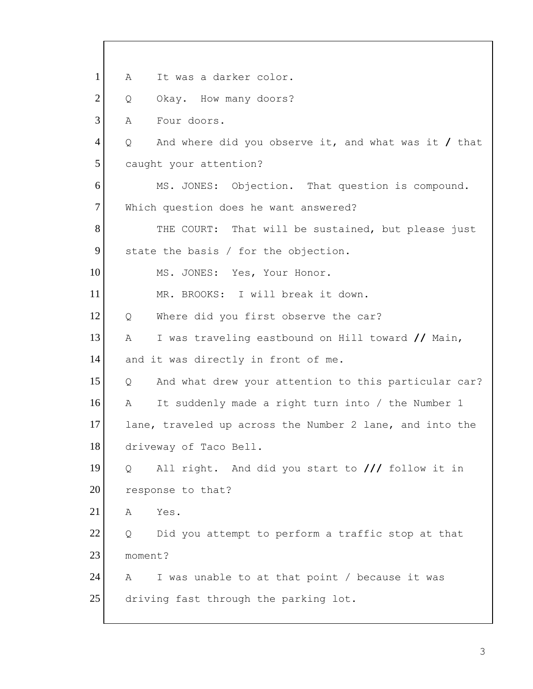1 2 3 4 5 6 7 8 9 10 11 12 13 14 15 16 17 18 19 20 21 22 23 24 25 A It was a darker color. Q Okay. How many doors? A Four doors. Q And where did you observe it, and what was it **/** that caught your attention? MS. JONES: Objection. That question is compound. Which question does he want answered? THE COURT: That will be sustained, but please just state the basis / for the objection. MS. JONES: Yes, Your Honor. MR. BROOKS: I will break it down. Q Where did you first observe the car? A I was traveling eastbound on Hill toward **//** Main, and it was directly in front of me. Q And what drew your attention to this particular car? A It suddenly made a right turn into / the Number 1 lane, traveled up across the Number 2 lane, and into the driveway of Taco Bell. Q All right. And did you start to **///** follow it in response to that? A Yes. Q Did you attempt to perform a traffic stop at that moment? A I was unable to at that point / because it was driving fast through the parking lot.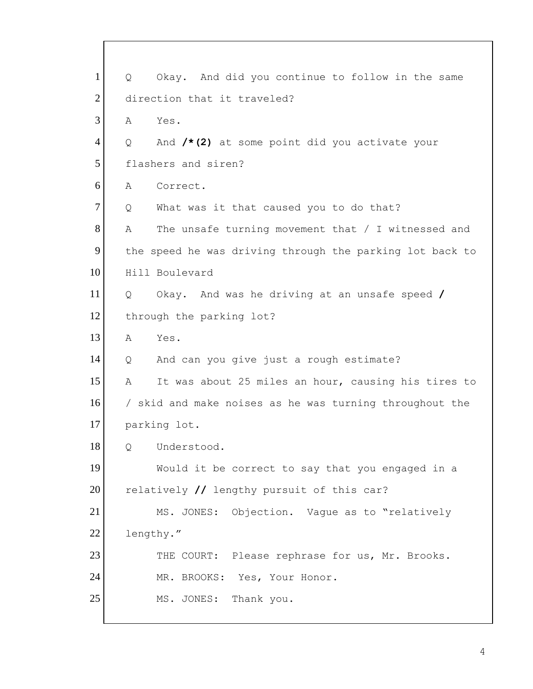1 2 3 4 5 6 7 8 9 10 11 12 13 14 15 16 17 18 19 20 21 22 23 24 25 Q Okay. And did you continue to follow in the same direction that it traveled? A Yes. Q And **/\*(2)** at some point did you activate your flashers and siren? A Correct. Q What was it that caused you to do that? A The unsafe turning movement that / I witnessed and the speed he was driving through the parking lot back to Hill Boulevard Q Okay. And was he driving at an unsafe speed **/**  through the parking lot? A Yes. Q And can you give just a rough estimate? A It was about 25 miles an hour, causing his tires to / skid and make noises as he was turning throughout the parking lot. Q Understood. Would it be correct to say that you engaged in a relatively **//** lengthy pursuit of this car? MS. JONES: Objection. Vague as to "relatively lengthy." THE COURT: Please rephrase for us, Mr. Brooks. MR. BROOKS: Yes, Your Honor. MS. JONES: Thank you.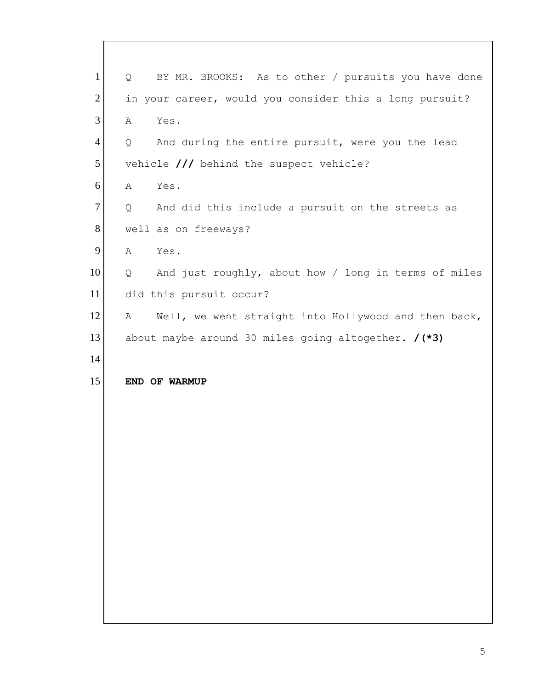| $\mathbf{1}$   | BY MR. BROOKS: As to other / pursuits you have done<br>Q  |
|----------------|-----------------------------------------------------------|
| $\overline{2}$ | in your career, would you consider this a long pursuit?   |
| 3              | Α<br>Yes.                                                 |
| $\overline{4}$ | And during the entire pursuit, were you the lead<br>Q     |
| 5              | vehicle /// behind the suspect vehicle?                   |
| 6              | A<br>Yes.                                                 |
| 7              | And did this include a pursuit on the streets as<br>Q     |
| 8              | well as on freeways?                                      |
| 9              | $\mathbb A$<br>Yes.                                       |
| 10             | Q<br>And just roughly, about how / long in terms of miles |
| 11             | did this pursuit occur?                                   |
| 12             | Well, we went straight into Hollywood and then back,<br>А |
| 13             | about maybe around 30 miles going altogether. $/(*)$      |
| 14             |                                                           |
| 15             | END OF WARMUP                                             |
|                |                                                           |
|                |                                                           |
|                |                                                           |
|                |                                                           |
|                |                                                           |
|                |                                                           |
|                |                                                           |
|                |                                                           |
|                |                                                           |
|                |                                                           |
|                |                                                           |

 $\lceil$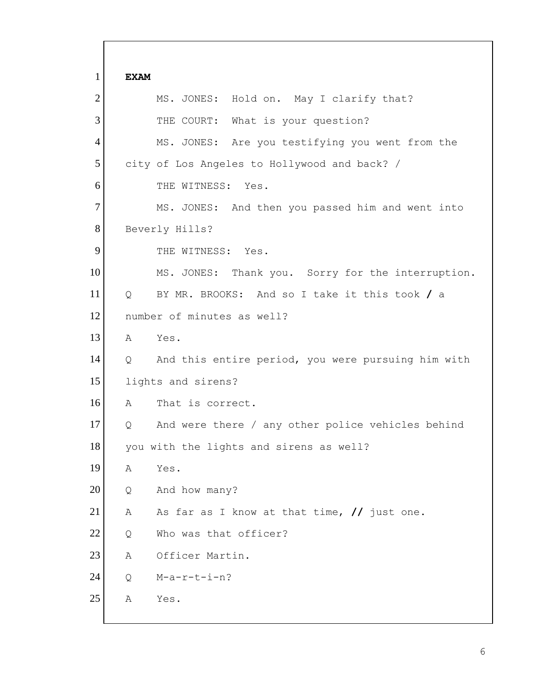1 2 3 4 5 6 7 8 9 10 11 12 13 14 15 16 17 18 19 20 21 22 23 24 25 **EXAM**  MS. JONES: Hold on. May I clarify that? THE COURT: What is your question? MS. JONES: Are you testifying you went from the city of Los Angeles to Hollywood and back? / THE WITNESS: Yes. MS. JONES: And then you passed him and went into Beverly Hills? THE WITNESS: Yes. MS. JONES: Thank you. Sorry for the interruption. Q BY MR. BROOKS: And so I take it this took **/** a number of minutes as well? A Yes. Q And this entire period, you were pursuing him with lights and sirens? A That is correct. Q And were there / any other police vehicles behind you with the lights and sirens as well? A Yes. Q And how many? A As far as I know at that time, **//** just one. Q Who was that officer? A Officer Martin. Q M-a-r-t-i-n? A Yes.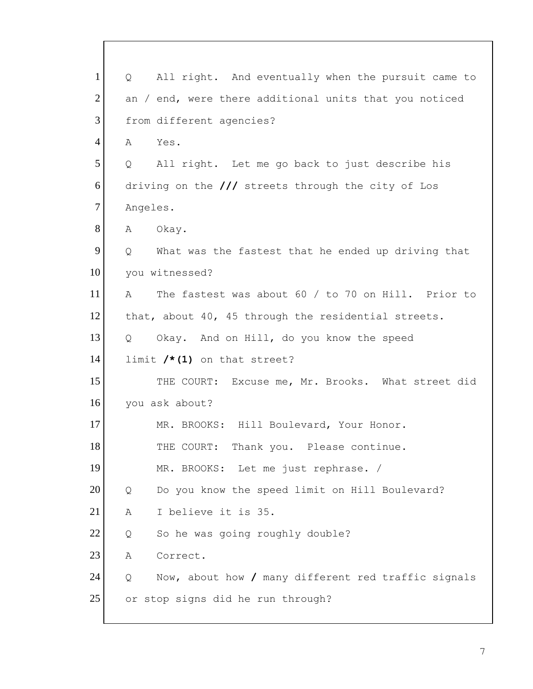| $\mathbf{1}$   | $Q \qquad$        | All right. And eventually when the pursuit came to     |
|----------------|-------------------|--------------------------------------------------------|
| $\overline{2}$ |                   | an / end, were there additional units that you noticed |
| 3              |                   | from different agencies?                               |
| $\overline{4}$ | Α                 | Yes.                                                   |
| 5              | $Q \qquad \qquad$ | All right. Let me go back to just describe his         |
| 6              |                   | driving on the $//$ streets through the city of Los    |
| $\tau$         | Angeles.          |                                                        |
| 8              | A                 | Okay.                                                  |
| 9              | $Q \qquad$        | What was the fastest that he ended up driving that     |
| 10             |                   | you witnessed?                                         |
| 11             | $\mathbb{A}$      | The fastest was about 60 / to 70 on Hill. Prior to     |
| 12             |                   | that, about 40, 45 through the residential streets.    |
| 13             | $Q_{\rm c}$       | Okay. And on Hill, do you know the speed               |
| 14             |                   | limit $/*(1)$ on that street?                          |
| 15             |                   | THE COURT: Excuse me, Mr. Brooks. What street did      |
| 16             |                   | you ask about?                                         |
| 17             |                   | MR. BROOKS: Hill Boulevard, Your Honor.                |
| 18             |                   | THE COURT: Thank you. Please continue.                 |
| 19             |                   | MR. BROOKS: Let me just rephrase. /                    |
| 20             | Q                 | Do you know the speed limit on Hill Boulevard?         |
| 21             | Α                 | I believe it is 35.                                    |
| 22             | Q                 | So he was going roughly double?                        |
| 23             | Α                 | Correct.                                               |
| 24             | Q                 | Now, about how / many different red traffic signals    |
| 25             |                   | or stop signs did he run through?                      |
|                |                   |                                                        |

 $\overline{\Gamma}$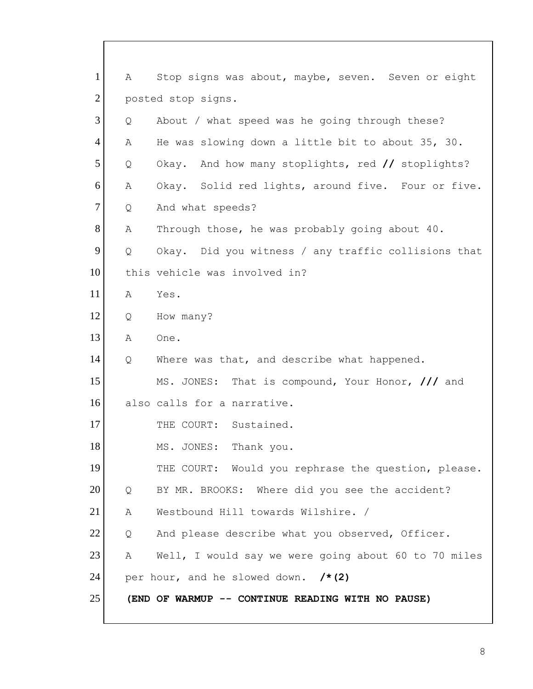| $\mathbf{1}$   | Α | Stop signs was about, maybe, seven. Seven or eight   |
|----------------|---|------------------------------------------------------|
| $\overline{2}$ |   | posted stop signs.                                   |
| 3              | Q | About / what speed was he going through these?       |
| $\overline{4}$ | Α | He was slowing down a little bit to about 35, 30.    |
| 5              | Q | And how many stoplights, red // stoplights?<br>Okay. |
| 6              | Α | Okay. Solid red lights, around five. Four or five.   |
| $\overline{7}$ | Q | And what speeds?                                     |
| 8              | Α | Through those, he was probably going about 40.       |
| 9              | Q | Okay. Did you witness / any traffic collisions that  |
| 10             |   | this vehicle was involved in?                        |
| 11             | Α | Yes.                                                 |
| 12             | Q | How many?                                            |
| 13             | Α | One.                                                 |
| 14             | Q | Where was that, and describe what happened.          |
| 15             |   | MS. JONES: That is compound, Your Honor, /// and     |
| 16             |   | also calls for a narrative.                          |
| 17             |   | THE COURT: Sustained.                                |
| $18\,$         |   | MS. JONES: Thank you.                                |
| 19             |   | THE COURT: Would you rephrase the question, please.  |
| 20             | Q | BY MR. BROOKS: Where did you see the accident?       |
| 21             | Α | Westbound Hill towards Wilshire. /                   |
| 22             | Q | And please describe what you observed, Officer.      |
| 23             | Α | Well, I would say we were going about 60 to 70 miles |
| 24             |   | per hour, and he slowed down. $/* (2)$               |
| 25             |   | (END OF WARMUP -- CONTINUE READING WITH NO PAUSE)    |

 $\mathbf{I}$ 

I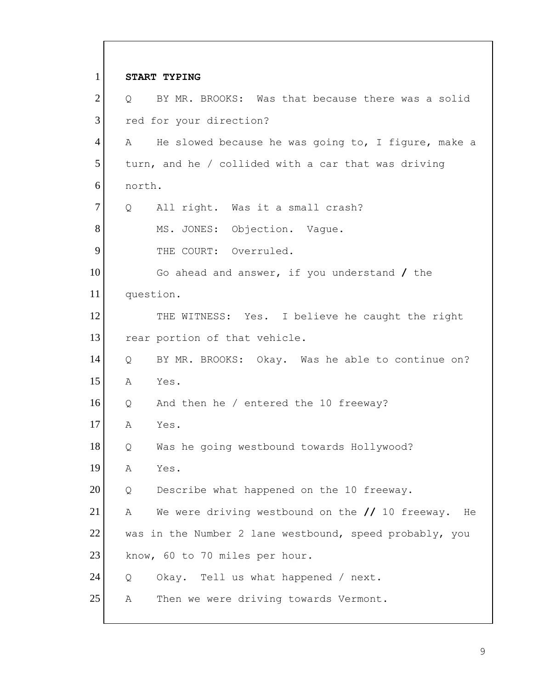1 2 3 4 5 6 7 8 9 10 11 12 13 14 15 16 17 18 19 20 21 22 23 24 25 **START TYPING**  Q BY MR. BROOKS: Was that because there was a solid red for your direction? A He slowed because he was going to, I figure, make a turn, and he / collided with a car that was driving north. Q All right. Was it a small crash? MS. JONES: Objection. Vague. THE COURT: Overruled. Go ahead and answer, if you understand **/** the question. THE WITNESS: Yes. I believe he caught the right rear portion of that vehicle. Q BY MR. BROOKS: Okay. Was he able to continue on? A Yes. Q And then he / entered the 10 freeway? A Yes. Q Was he going westbound towards Hollywood? A Yes. Q Describe what happened on the 10 freeway. A We were driving westbound on the **//** 10 freeway. He was in the Number 2 lane westbound, speed probably, you know, 60 to 70 miles per hour. Q Okay. Tell us what happened / next. A Then we were driving towards Vermont.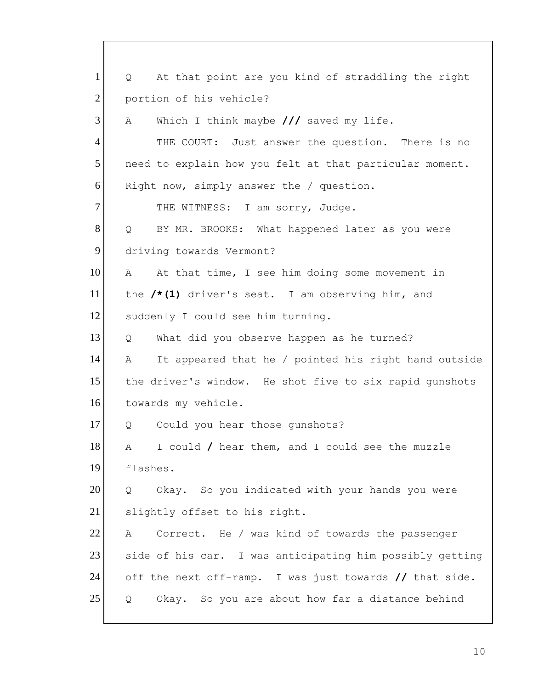portion of his vehicle? 1 2 3 4 5 6 7 8 9 10 11 12 13 14 15 16 17 18 19 20 21 22 23 24 25 Q At that point are you kind of straddling the right A Which I think maybe /// saved my life. THE COURT: Just answer the question. There is no need to explain how you felt at that particular moment. Right now, simply answer the / question. THE WITNESS: I am sorry, Judge. Q BY MR. BROOKS: What happened later as you were driving towards Vermont? A At that time, I see him doing some movement in the **/\*(1)** driver's seat. I am observing him, and suddenly I could see him turning. Q What did you observe happen as he turned? A It appeared that he / pointed his right hand outside the driver's window. He shot five to six rapid gunshots towards my vehicle. Q Could you hear those gunshots? A I could **/** hear them, and I could see the muzzle flashes. Q Okay. So you indicated with your hands you were slightly offset to his right. A Correct. He / was kind of towards the passenger side of his car. I was anticipating him possibly getting off the next off-ramp. I was just towards **//** that side. Q Okay. So you are about how far a distance behind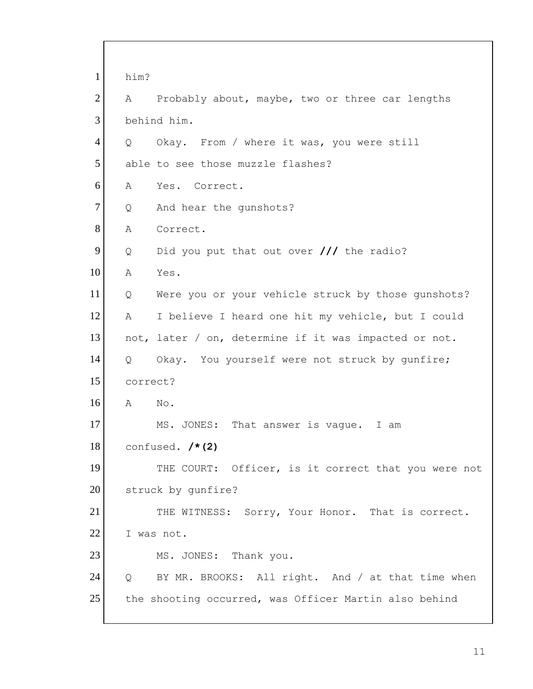1 2 3 4 5 6 7 8 9 10 11 12 13 14 15 16 17 18 19 20 21 22 23 24 25 him? A Probably about, maybe, two or three car lengths behind him. Q Okay. From / where it was, you were still able to see those muzzle flashes? A Yes. Correct. Q And hear the gunshots? A Correct. Q Did you put that out over **///** the radio? A Yes. Q Were you or your vehicle struck by those gunshots? A I believe I heard one hit my vehicle, but I could not, later / on, determine if it was impacted or not. Q Okay. You yourself were not struck by gunfire; correct? A No. MS. JONES: That answer is vague. I am confused. **/\*(2)**  THE COURT: Officer, is it correct that you were not struck by gunfire? THE WITNESS: Sorry, Your Honor. That is correct. I was not. MS. JONES: Thank you. Q BY MR. BROOKS: All right. And / at that time when the shooting occurred, was Officer Martin also behind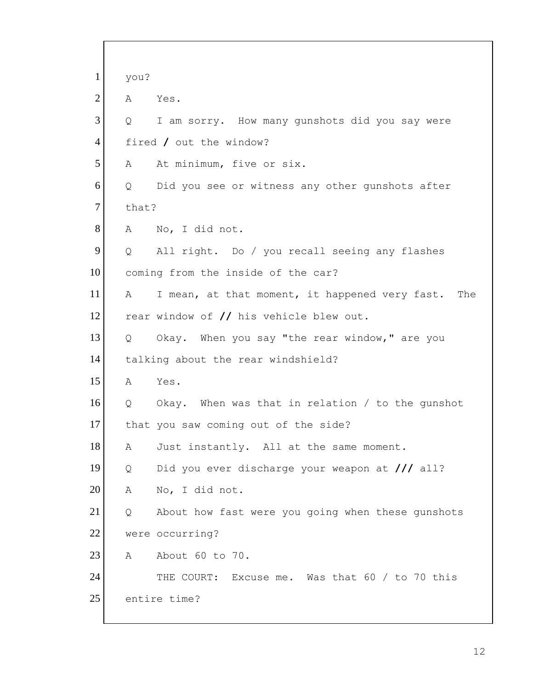| $\mathbf{1}$   | you?              |                                                          |
|----------------|-------------------|----------------------------------------------------------|
| $\overline{2}$ | A                 | Yes.                                                     |
| 3              | Q                 | I am sorry. How many gunshots did you say were           |
| $\overline{4}$ |                   | fired / out the window?                                  |
| 5              | A                 | At minimum, five or six.                                 |
| 6              | Q                 | Did you see or witness any other gunshots after          |
| $\overline{7}$ | that?             |                                                          |
| 8              | A                 | No, I did not.                                           |
| 9              | $Q \qquad \qquad$ | All right. Do / you recall seeing any flashes            |
| 10             |                   | coming from the inside of the car?                       |
| 11             | A                 | I mean, at that moment, it happened very fast.<br>The    |
| 12             |                   | rear window of // his vehicle blew out.                  |
| 13             | Q                 | Okay. When you say "the rear window," are you            |
| 14             |                   | talking about the rear windshield?                       |
| 15             | Α                 | Yes.                                                     |
| 16             |                   | Q Okay. When was that in relation / to the qunshot       |
| 17             |                   | that you saw coming out of the side?                     |
| 18             | Α                 | Just instantly. All at the same moment.                  |
| 19             | Q                 | Did you ever discharge your weapon at $\frac{1}{1}$ all? |
| 20             | Α                 | No, I did not.                                           |
| 21             | Q                 | About how fast were you going when these gunshots        |
| 22             |                   | were occurring?                                          |
| 23             | A                 | About 60 to 70.                                          |
| 24             |                   | THE COURT: Excuse me. Was that 60 / to 70 this           |
| 25             |                   | entire time?                                             |
|                |                   |                                                          |

 $\lceil$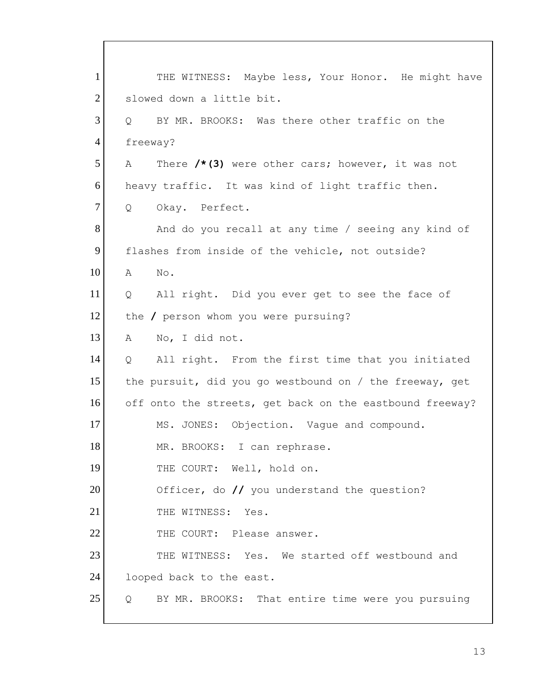THE COURT: Well, hold on. 1 2 3 4 5 6 7 8 9 10 11 12 13 14 15 16 17 18 19 20 21 22 23 24 25 THE WITNESS: Maybe less, Your Honor. He might have slowed down a little bit. Q BY MR. BROOKS: Was there other traffic on the freeway? A There **/\*(3)** were other cars; however, it was not heavy traffic. It was kind of light traffic then. Q Okay. Perfect. And do you recall at any time / seeing any kind of flashes from inside of the vehicle, not outside? A No. Q All right. Did you ever get to see the face of the **/** person whom you were pursuing? A No, I did not. Q All right. From the first time that you initiated the pursuit, did you go westbound on / the freeway, get off onto the streets, get back on the eastbound freeway? MS. JONES: Objection. Vague and compound. MR. BROOKS: I can rephrase. Officer, do **//** you understand the question? THE WITNESS: Yes. THE COURT: Please answer.<br>THE WITNESS: Yes. We started off westbound and looped back to the east. Q BY MR. BROOKS: That entire time were you pursuing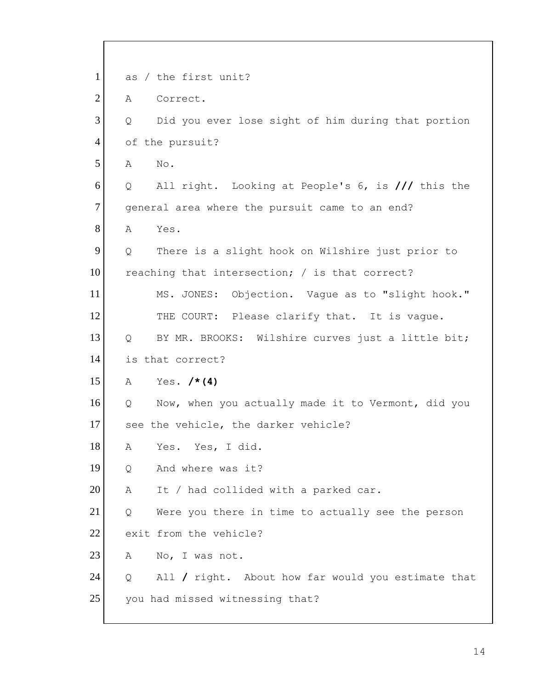| $\mathbf{1}$   |   | as / the first unit?                               |
|----------------|---|----------------------------------------------------|
| $\overline{2}$ | A | Correct.                                           |
| 3              | Q | Did you ever lose sight of him during that portion |
| 4              |   | of the pursuit?                                    |
| 5              | Α | No.                                                |
| 6              | Q | All right. Looking at People's 6, is /// this the  |
| $\tau$         |   | general area where the pursuit came to an end?     |
| 8              | A | Yes.                                               |
| 9              | Q | There is a slight hook on Wilshire just prior to   |
| 10             |   | reaching that intersection; / is that correct?     |
| 11             |   | MS. JONES: Objection. Vaque as to "slight hook."   |
| 12             |   | THE COURT: Please clarify that. It is vague.       |
| 13             | Q | BY MR. BROOKS: Wilshire curves just a little bit;  |
| 14             |   | is that correct?                                   |
| 15             | A | Yes. $/* (4)$                                      |
| 16             | Q | Now, when you actually made it to Vermont, did you |
| 17             |   | see the vehicle, the darker vehicle?               |
| 18             | Α | Yes. Yes, I did.                                   |
| 19             | Q | And where was it?                                  |
| 20             | Α | It / had collided with a parked car.               |
| 21             | Q | Were you there in time to actually see the person  |
| 22             |   | exit from the vehicle?                             |
| 23             | A | No, I was not.                                     |
| 24             | Q | All / right. About how far would you estimate that |
| 25             |   | you had missed witnessing that?                    |
|                |   |                                                    |

 $\overline{\Gamma}$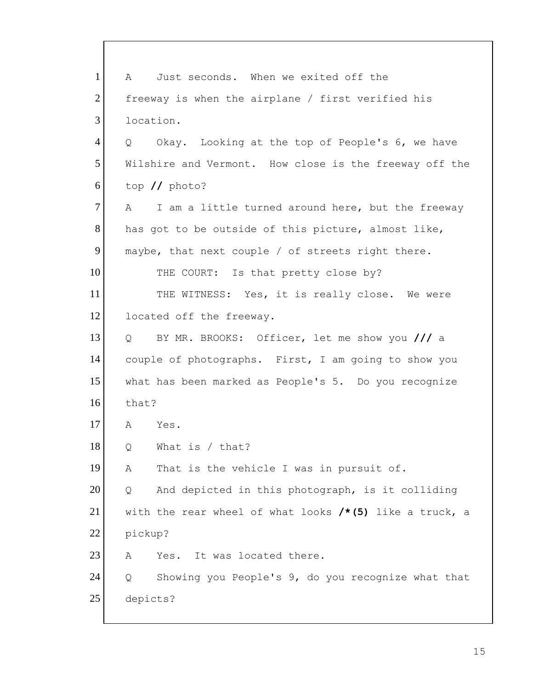1 2 3 4 5 6 7 8 9 10 11 12 13 14 15 16 17 18 19 20 21 22 23 24 25 A Just seconds. When we exited off the freeway is when the airplane / first verified his location. Q Okay. Looking at the top of People's 6, we have Wilshire and Vermont. How close is the freeway off the top **//** photo? A I am a little turned around here, but the freeway has got to be outside of this picture, almost like, maybe, that next couple / of streets right there. THE COURT: Is that pretty close by? THE WITNESS: Yes, it is really close. We were located off the freeway. Q BY MR. BROOKS: Officer, let me show you **///** a couple of photographs. First, I am going to show you what has been marked as People's 5. Do you recognize that? A Yes. Q What is / that? A That is the vehicle I was in pursuit of. Q And depicted in this photograph, is it colliding with the rear wheel of what looks **/\*(5)** like a truck, a pickup? A Yes. It was located there. Q Showing you People's 9, do you recognize what that depicts?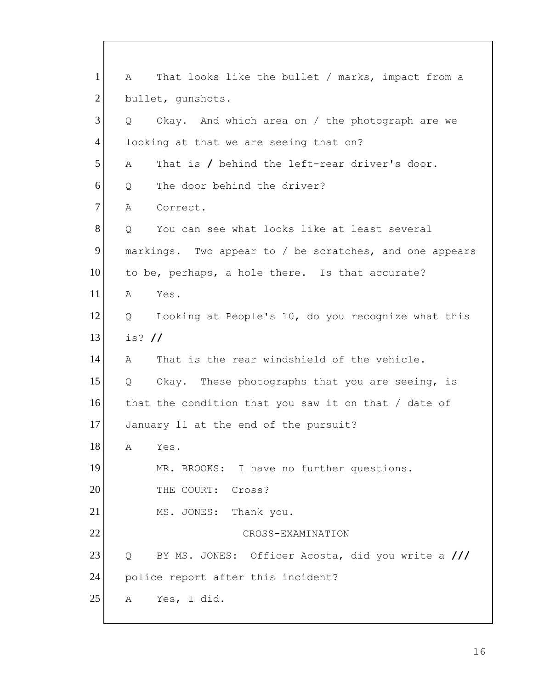1 2 3 4 5 6 7 8 9 10 11 12 13 14 15 16 17 18 19 20 21 22 23 24 25 A That looks like the bullet / marks, impact from a bullet, gunshots. Q Okay. And which area on / the photograph are we looking at that we are seeing that on? A That is **/** behind the left-rear driver's door. Q The door behind the driver? A Correct. Q You can see what looks like at least several markings. Two appear to / be scratches, and one appears to be, perhaps, a hole there. Is that accurate? A Yes. Q Looking at People's 10, do you recognize what this is? **//**  A That is the rear windshield of the vehicle. Q Okay. These photographs that you are seeing, is that the condition that you saw it on that / date of January 11 at the end of the pursuit? A Yes. MR. BROOKS: I have no further questions. THE COURT: Cross? MS. JONES: Thank you. CROSS-EXAMINATION Q BY MS. JONES: Officer Acosta, did you write a **///**  police report after this incident? A Yes, I did.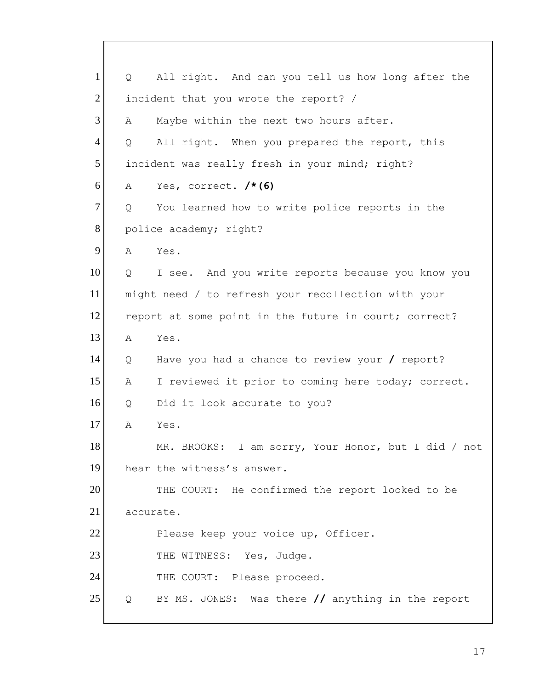1 2 3 4 5 6 7 8 9 10 11 12 13 14 15 16 17 18 19 20 21 22 23 24 25 Q All right. And can you tell us how long after the incident that you wrote the report? / A Maybe within the next two hours after. Q All right. When you prepared the report, this incident was really fresh in your mind; right? A Yes, correct. **/\*(6)**  Q You learned how to write police reports in the police academy; right? A Yes. Q I see. And you write reports because you know you might need / to refresh your recollection with your report at some point in the future in court; correct? A Yes. Q Have you had a chance to review your **/** report? A I reviewed it prior to coming here today; correct. Q Did it look accurate to you? A Yes. MR. BROOKS: I am sorry, Your Honor, but I did / not hear the witness's answer. THE COURT: He confirmed the report looked to be accurate. Please keep your voice up, Officer. THE WITNESS: Yes, Judge. THE COURT: Please proceed. Q BY MS. JONES: Was there **//** anything in the report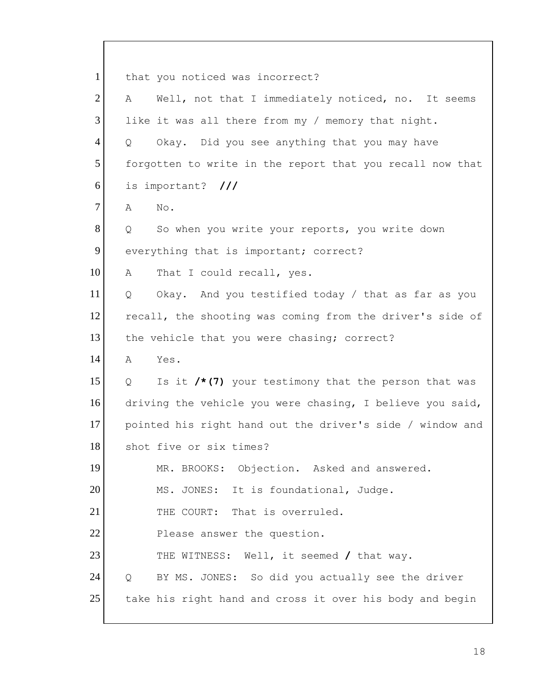1 2 3 4 5 6 7 8 9 10 11 12 13 14 15 16 17 18 19 20 21 22 23 24 25 that you noticed was incorrect? A Well, not that I immediately noticed, no. It seems like it was all there from my / memory that night. Q Okay. Did you see anything that you may have forgotten to write in the report that you recall now that is important? **///**  A No. Q So when you write your reports, you write down everything that is important; correct? A That I could recall, yes. Q Okay. And you testified today / that as far as you recall, the shooting was coming from the driver's side of the vehicle that you were chasing; correct? A Yes. Q Is it **/\*(7)** your testimony that the person that was driving the vehicle you were chasing, I believe you said, pointed his right hand out the driver's side / window and shot five or six times? MR. BROOKS: Objection. Asked and answered. MS. JONES: It is foundational, Judge. THE COURT: That is overruled. Please answer the question. THE WITNESS: Well, it seemed **/** that way. Q BY MS. JONES: So did you actually see the driver take his right hand and cross it over his body and begin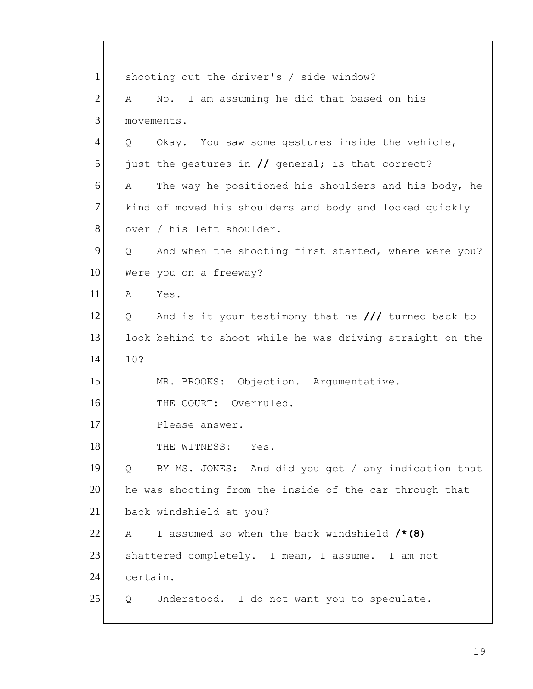1 2 3 4 5 6 7 8 9 10 11 12 13 14 15 16 17 18 19 20 21 22 23 24 25 shooting out the driver's / side window? A No. I am assuming he did that based on his movements. Q Okay. You saw some gestures inside the vehicle, just the gestures in **//** general; is that correct? A The way he positioned his shoulders and his body, he kind of moved his shoulders and body and looked quickly over / his left shoulder. Q And when the shooting first started, where were you? Were you on a freeway? A Yes. Q And is it your testimony that he **///** turned back to look behind to shoot while he was driving straight on the 10? MR. BROOKS: Objection. Argumentative. THE COURT: Overruled. Please answer. THE WITNESS: Yes. Q BY MS. JONES: And did you get / any indication that he was shooting from the inside of the car through that back windshield at you? A I assumed so when the back windshield **/\*(8)**  shattered completely. I mean, I assume. I am not certain. Q Understood. I do not want you to speculate.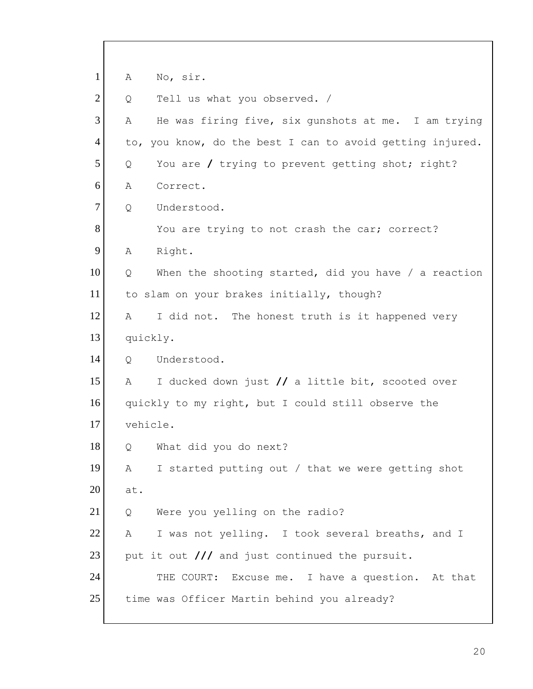| No, sir.<br>Α                                             |
|-----------------------------------------------------------|
| Tell us what you observed. /<br>Q                         |
| He was firing five, six gunshots at me. I am trying<br>Α  |
| to, you know, do the best I can to avoid getting injured. |
| You are / trying to prevent getting shot; right?<br>Q     |
| Correct.<br>Α                                             |
| Understood.<br>Q                                          |
| You are trying to not crash the car; correct?             |
| Right.<br>Α                                               |
| When the shooting started, did you have / a reaction<br>Q |
| to slam on your brakes initially, though?                 |
| I did not. The honest truth is it happened very<br>A      |
| quickly.                                                  |
| Understood.<br>$\overline{Q}$                             |
| I ducked down just // a little bit, scooted over<br>Α     |
| quickly to my right, but I could still observe the        |
| vehicle.                                                  |
| What did you do next?<br>Q                                |
| I started putting out / that we were getting shot<br>А    |
| at.                                                       |
| Were you yelling on the radio?<br>Q                       |
| I was not yelling. I took several breaths, and I<br>A     |
| put it out /// and just continued the pursuit.            |
| THE COURT: Excuse me. I have a question. At that          |
| time was Officer Martin behind you already?               |
|                                                           |

 $\overline{\Gamma}$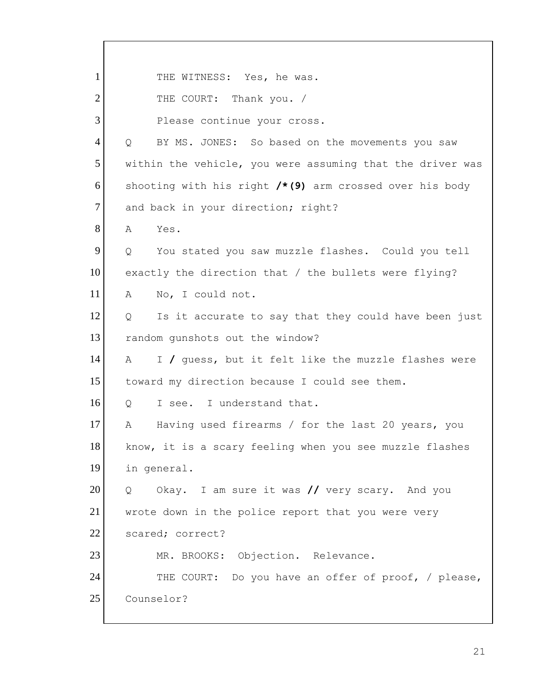1 2 3 4 5 6 7 8 9 10 11 12 13 14 15 16 17 18 19 20 21 22 23 24 25 THE WITNESS: Yes, he was. THE COURT: Thank you. / Please continue your cross. Q BY MS. JONES: So based on the movements you saw within the vehicle, you were assuming that the driver was shooting with his right **/\*(9)** arm crossed over his body and back in your direction; right? A Yes. Q You stated you saw muzzle flashes. Could you tell exactly the direction that / the bullets were flying? A No, I could not. Q Is it accurate to say that they could have been just random gunshots out the window? A I **/** guess, but it felt like the muzzle flashes were toward my direction because I could see them. Q I see. I understand that. A Having used firearms / for the last 20 years, you know, it is a scary feeling when you see muzzle flashes in general. Q Okay. I am sure it was **//** very scary. And you wrote down in the police report that you were very scared; correct? MR. BROOKS: Objection. Relevance. THE COURT: Do you have an offer of proof, / please, Counselor?